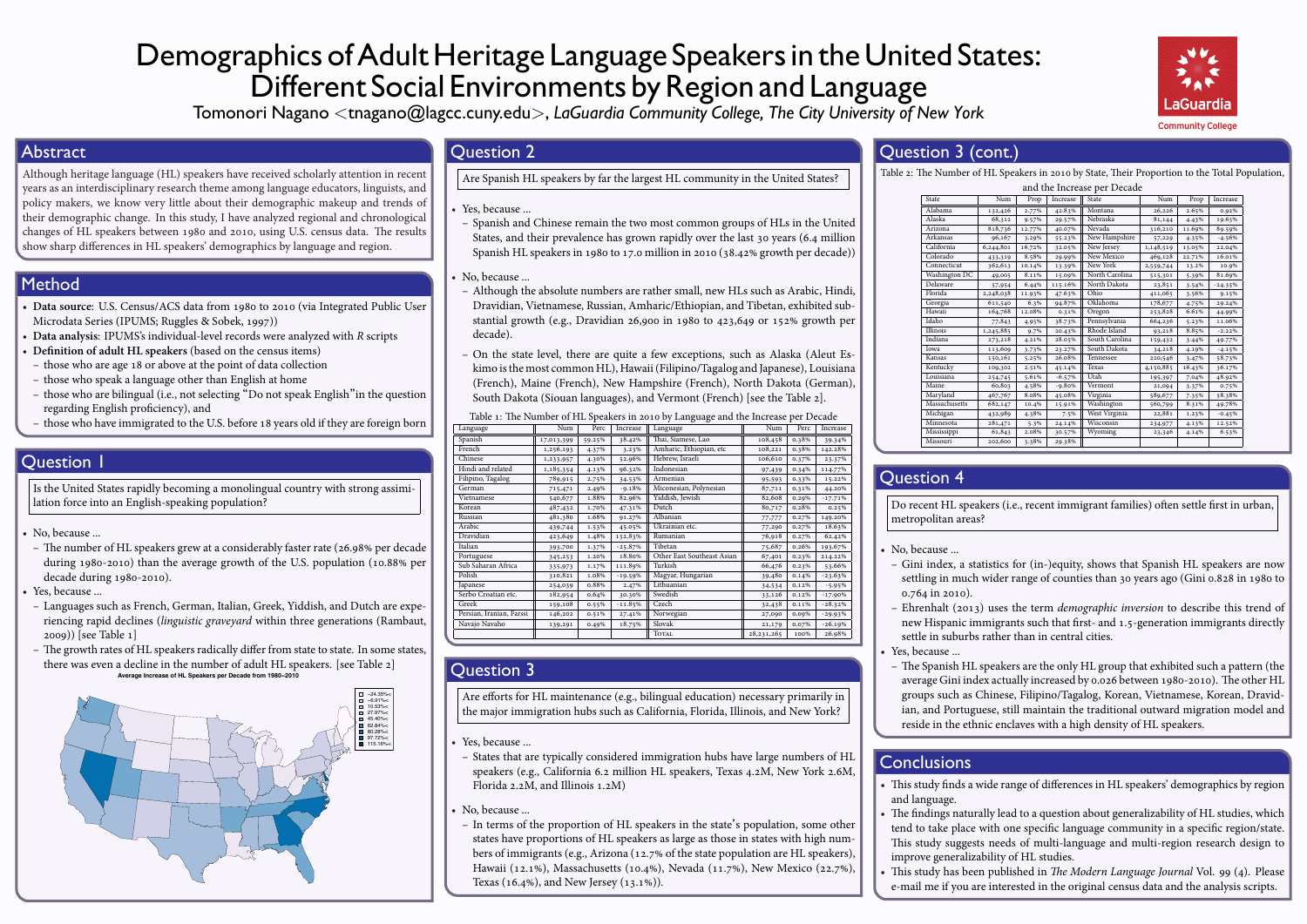# Demographics of Adult Heritage Language Speakers in the United States: Different Social Environments by Region and Language



Tomonori Nagano *<*tnagano@lagcc.cuny.edu*>*, *LaGuardia Community College, The City University of New York*

#### **Abstract**

Although heritage language (HL) speakers have received scholarly attention in recent years as an interdisciplinary research theme among language educators, linguists, and policy makers, we know very little about their demographic makeup and trends of their demographic change. In this study, I have analyzed regional and chronological changes of HL speakers between 1980 and 2010, using U.S. census data. The results show sharp differences in HL speakers' demographics by language and region.

#### Method

- **Data source**: U.S. Census/ACS data from 1980 to 2010 (via Integrated Public User Microdata Series (IPUMS; Ruggles & Sobek, 1997))
- **Data analysis**: IPUMS's individual-level records were analyzed with *R* scripts
- **Definition of adult HL speakers** (based on the census items)
- **–** those who are age 18 or above at the point of data collection
- **–** those who speak a language other than English at home
- **–** those who are bilingual (i.e., not selecting "Do not speak English"in the question regarding English proficiency), and
- **–** those who have immigrated to the U.S. before 18 years old if they are foreign born

## **Ouestion 1**

Is the United States rapidly becoming a monolingual country with strong assimilation force into an English-speaking population?

• No, because ...

**–** The number of HL speakers grew at a considerably faster rate (26.98% per decade during 1980-2010) than the average growth of the U.S. population (10.88% per decade during 1980-2010).

Yes, because ...

- **–** Languages such as French, German, Italian, Greek, Yiddish, and Dutch are experiencing rapid declines (*linguistic graveyard* within three generations (Rambaut, 2009)) [see Table 1]
- **–** The growth rates of HL speakers radically differ from state to state. In some states, there was even a decline in the number of adult HL speakers. [see Table 2] **Average Increase of HL Speakers per Decade from 1980−2010**



#### Question 2

Are Spanish HL speakers by far the largest HL community in the United States?

- Yes, because ...
- **–** Spanish and Chinese remain the two most common groups of HLs in the United States, and their prevalence has grown rapidly over the last 30 years (6.4 million Spanish HL speakers in 1980 to 17.0 million in 2010 (38.42% growth per decade))
- No, because ...
- **–** Although the absolute numbers are rather small, new HLs such as Arabic, Hindi, Dravidian, Vietnamese, Russian, Amharic/Ethiopian, and Tibetan, exhibited substantial growth (e.g., Dravidian 26,900 in 1980 to 423,649 or 152% growth per decade).
- **–** On the state level, there are quite a few exceptions, such as Alaska (Aleut Eskimo is the most common HL), Hawaii (Filipino/Tagalog and Japanese), Louisiana (French), Maine (French), New Hampshire (French), North Dakota (German), South Dakota (Siouan languages), and Vermont (French) [see the Table 2].

| Table 1: The Number of HL Speakers in 2010 by Language and the Increase per Decade |            |        |           |                            |              |       |           |  |  |  |  |  |
|------------------------------------------------------------------------------------|------------|--------|-----------|----------------------------|--------------|-------|-----------|--|--|--|--|--|
| Language                                                                           | Num        | Perc   | Increase  | Language                   | Num          | Perc  | Increase  |  |  |  |  |  |
| Spanish                                                                            | 17,013,399 | 59.25% | 38.42%    | Thai, Siamese, Lao         | 108,458      | 0.38% | 39.34%    |  |  |  |  |  |
| French                                                                             | 1,256,193  | 4.37%  | 3.23%     | Amharic, Ethiopian, etc    | 108,221      | 0.38% | 142.28%   |  |  |  |  |  |
| Chinese                                                                            | 1,233,957  | 4.30%  | 52.96%    | Hebrew, Israeli            | 106,610      | 0.37% | 23.37%    |  |  |  |  |  |
| Hindi and related                                                                  | 1,185,354  | 4.13%  | 96.32%    | Indonesian                 | 97,439       | 0.34% | 114.77%   |  |  |  |  |  |
| Filipino, Tagalog                                                                  | 789,915    | 2.75%  | 34.53%    | Armenian                   | 95,593       | 0.33% | 15.22%    |  |  |  |  |  |
| German                                                                             | 715,471    | 2.49%  | $-9.18%$  | Miconesian, Polynesian     | 87,711       | 0.31% | 44.20%    |  |  |  |  |  |
| Vietnamese                                                                         | 540,677    | 1.88%  | 82.96%    | Yiddish, Jewish            | 82,608       | 0.29% | $-17.71%$ |  |  |  |  |  |
| Korean                                                                             | 487,432    | 1.70%  | 47.31%    | Dutch                      | 80,717       | 0.28% | 0.25%     |  |  |  |  |  |
| Russian                                                                            | 481,380    | 1.68%  | 91.27%    | Albanian                   | 77,777       | 0.27% | 149.20%   |  |  |  |  |  |
| Arabic                                                                             | 439,744    | 1.53%  | 45.05%    | Ukrainian etc.             | 77,290       | 0.27% | 18.63%    |  |  |  |  |  |
| Dravidian                                                                          | 423,649    | 1.48%  | 152.83%   | Rumanian                   | 76,918       | 0.27% | 62.42%    |  |  |  |  |  |
| Italian                                                                            | 393,700    | 1.37%  | $-25.87%$ | Tibetan                    | 75,687       | 0.26% | 193.67%   |  |  |  |  |  |
| Portuguese                                                                         | 345,253    | 1.20%  | 18.80%    | Other East Southeast Asian | 67,401       | 0.23% | 214.22%   |  |  |  |  |  |
| Sub Saharan Africa                                                                 | 335,973    | 1.17%  | 111.89%   | Turkish                    | 66,476       | 0.23% | 53.66%    |  |  |  |  |  |
| Polish                                                                             | 310,821    | 1.08%  | $-19.59%$ | Magyar, Hungarian          | 39,480       | 0.14% | $-23.63%$ |  |  |  |  |  |
| Japanese                                                                           | 254,039    | 0.88%  | 2.47%     | Lithuanian                 | 34,534       | 0.12% | $-5.95%$  |  |  |  |  |  |
| Serbo Croatian etc.                                                                | 182,954    | 0.64%  | 30.30%    | Swedish                    | 33,126       | 0.12% | $-17.90%$ |  |  |  |  |  |
| Greek                                                                              | 159,108    | 0.55%  | $-11.85%$ | Czech                      | 32,438       | 0.11% | $-28.32%$ |  |  |  |  |  |
| Persian, Iranian, Farssi                                                           | 146,202    | 0.51%  | 27.41%    | Norwegian                  | 27,090       | 0.09% | $-29.93%$ |  |  |  |  |  |
| Navajo Navaho                                                                      | 139,291    | 0.49%  | 18.75%    | Slovak                     | 21,179       | 0.07% | $-26.19%$ |  |  |  |  |  |
|                                                                                    |            |        |           | <b>TOTAL</b>               | 28, 231, 265 | 100%  | 26.98%    |  |  |  |  |  |

## Question 3

Are efforts for HL maintenance (e.g., bilingual education) necessary primarily in the major immigration hubs such as California, Florida, Illinois, and New York?

• Yes, because ...

- **–** States that are typically considered immigration hubs have large numbers of HL speakers (e.g., California 6.2 million HL speakers, Texas 4.2M, New York 2.6M, Florida 2.2M, and Illinois 1.2M)
- No, because ...
- **–** In terms of the proportion of HL speakers in the state's population, some other states have proportions of HL speakers as large as those in states with high numbers of immigrants (e.g., Arizona (12.7% of the state population are HL speakers), Hawaii (12.1%), Massachusetts (10.4%), Nevada (11.7%), New Mexico (22.7%), Texas (16.4%), and New Jersey (13.1%)).

## Question 3 (cont.)

Table 2: The Number of HL Speakers in 2010 by State, Their Proportion to the Total Population,

|                 |           |        |          | and the Increase per Decade |           |        |           |
|-----------------|-----------|--------|----------|-----------------------------|-----------|--------|-----------|
| State           | Num       | Prop   | Increase | State                       | Num       | Prop   | Increase  |
| Alabama         | 132,426   | 2.77%  | 42.83%   | Montana                     | 26,226    | 2.65%  | 0.92%     |
| Alaska          | 68,312    | 9.57%  | 29.57%   | Nebraska                    | 81,144    | 4.43%  | 19.63%    |
| Arizona         | 818,736   | 12.77% | 40.07%   | Nevada                      | 316,210   | 11.69% | 89.59%    |
| Arkansas        | 96,167    | 3.29%  | 55.23%   | New Hampshire               | 57,229    | 4.35%  | $-4.56%$  |
| California      | 6,244,801 | 16.72% | 32.05%   | New Jersey                  | 1,148,519 | 13.05% | 22.04%    |
| Colorado        | 433,319   | 8.58%  | 29.99%   | New Mexico                  | 469,128   | 22.71% | 16.01%    |
| Connecticut     | 362,613   | 10.14% | 13.39%   | New York                    | 2,559,744 | 13.2%  | 10.9%     |
| Washington DC   | 49,005    | 8.11%  | 15.09%   | North Carolina              | 515,301   | 5.39%  | 81.69%    |
| <b>Delaware</b> | 57,954    | 6.44%  | 115.16%  | North Dakota                | 23,851    | 3.54%  | $-24.35%$ |
| Florida         | 2,248,038 | 11.93% | 47.63%   | Ohio                        | 411,065   | 3.56%  | 9.15%     |
| Georgia         | 611,540   | 6.3%   | 94.87%   | Oklahoma                    | 178,677   | 4.75%  | 29.24%    |
| Hawaii          | 164,768   | 12.08% | 0.31%    | Oregon                      | 253,828   | 6.61%  | 44.99%    |
| Idaho           | 77,843    | 4.95%  | 38.73%   | Pennsylvania                | 664,236   | 5.23%  | 11.06%    |
| Illinois        | 1,245,885 | 9.7%   | 20.43%   | Rhode Island                | 93,218    | 8.85%  | $-2.22%$  |
| Indiana         | 273,218   | 4.21%  | 28.05%   | South Carolina              | 159,432   | 3.44%  | 49.77%    |
| Iowa            | 113,609   | 3.73%  | 23.27%   | South Dakota                | 34,218    | 4.19%  | $-4.15%$  |
| Kansas          | 150,161   | 5.25%  | 26.08%   | Tennessee                   | 220,546   | 3.47%  | 58.73%    |
| Kentucky        | 109,302   | 2.51%  | 45.14%   | Texas                       | 4,150,885 | 16.43% | 36.17%    |
| Louisiana       | 254,745   | 5.61%  | $-6.57%$ | Utah                        | 195,397   | 7.04%  | 48.92%    |
| Maine           | 60,803    | 4.58%  | $-9.80%$ | Vermont                     | 21,094    | 3.37%  | 0.75%     |
| Maryland        | 467,767   | 8.08%  | 45.08%   | Virginia                    | 589,677   | 7.35%  | 58.38%    |
| Massachusetts   | 682,147   | 10.4%  | 15.91%   | Washington                  | 560,799   | 8.31%  | 49.78%    |
| Michigan        | 432,989   | 4.38%  | 7.5%     | <b>West Virginia</b>        | 22,881    | 1.23%  | $-0.45%$  |
| Minnesota       | 281,471   | 5.3%   | 24.14%   | Wisconsin                   | 234,977   | 4.13%  | 12.52%    |
| Mississippi     | 61,843    | 2.08%  | 30.57%   | Wyoming                     | 23,346    | 4.14%  | 6.53%     |
| Missouri        | 202,600   | 3.38%  | 29.38%   |                             |           |        |           |
|                 |           |        |          |                             |           |        |           |

## Question 4

Do recent HL speakers (i.e., recent immigrant families) often settle first in urban, metropolitan areas?

- No, because ...
	- **–** Gini index, a statistics for (in-)equity, shows that Spanish HL speakers are now settling in much wider range of counties than 30 years ago (Gini 0.828 in 1980 to 0.764 in 2010).
	- **–** Ehrenhalt (2013) uses the term *demographic inversion* to describe this trend of new Hispanic immigrants such that first- and 1.5-generation immigrants directly settle in suburbs rather than in central cities.
- Yes, because ...
- **–** The Spanish HL speakers are the only HL group that exhibited such a pattern (the average Gini index actually increased by 0.026 between 1980-2010). The other HL groups such as Chinese, Filipino/Tagalog, Korean, Vietnamese, Korean, Dravidian, and Portuguese, still maintain the traditional outward migration model and reside in the ethnic enclaves with a high density of HL speakers.

## **Conclusions**

- This study finds a wide range of differences in HL speakers' demographics by region and language.
- The findings naturally lead to a question about generalizability of HL studies, which tend to take place with one specific language community in a specific region/state. This study suggests needs of multi-language and multi-region research design to improve generalizability of HL studies.
- This study has been published in *The Modern Language Journal* Vol. 99 (4). Please e-mail me if you are interested in the original census data and the analysis scripts.